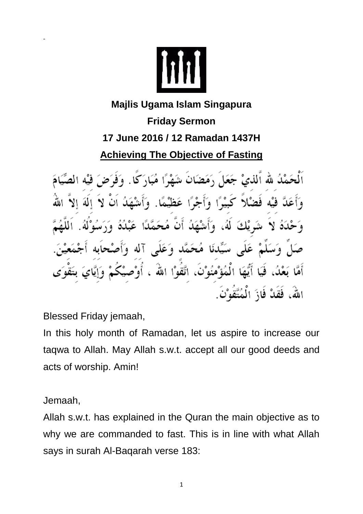

## **Majlis Ugama Islam Singapura Friday Sermon 17 June 2016 / 12 Ramadan 1437H Achieving The Objective of Fasting**

ٱلْحَمْلُهُ لله ٱللَّٰى جَعَلَ رَمَضَانَ شَهْرًا مُبَارَكًا. وَفَرَضَ فيْه الصِّ كَبِيْرًا وَأَجْرًا عَظَيْمًا. وَأَشْهَدُ فضلا نْدَهُ لاَ شَرِيْكَ لَهُ، وَأَشْهَدُ أَنَّ مُحَمَّدًا عَبْدُهُ سَيِّدنَا مُحَمَّد وَعَلَى آله وَأَد عَلَى أَمَّا بَعْدُ، فَيَا أَيُّهَا الْمُؤْمُنُوْنَ، اتَّقَوْا اللهُ ، أَوْص اللهُ، فَقَدْ فَازَ الْمُتَّقُوْنَ.

Blessed Friday jemaah,

In this holy month of Ramadan, let us aspire to increase our taqwa to Allah. May Allah s.w.t. accept all our good deeds and acts of worship. Amin!

Jemaah,

-

Allah s.w.t. has explained in the Quran the main objective as to why we are commanded to fast. This is in line with what Allah says in surah Al-Baqarah verse 183: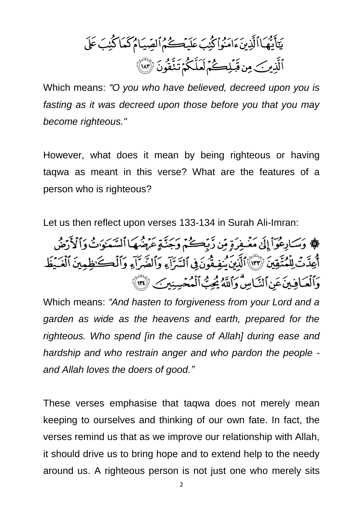Which means: *"O you who have believed, decreed upon you is fasting as it was decreed upon those before you that you may become righteous."*

However, what does it mean by being righteous or having taqwa as meant in this verse? What are the features of a person who is righteous?

Let us then reflect upon verses 133-134 in Surah Ali-Imran:

﴾ وَسَادِعُوٓاْ إِلَىٰ مَغۡفِرَةِ مِّن زَّبِّكُمۡمَ وَجَنَّةٍ عَرَضُهَا ٱلسَّمَلَوٰتُ وَٱلْأَرْضُ أَعِدَّتْ لِلْمُتَّقِينَ ۚ ۚ ٱلْآَيَانَ يُنفِقُونَ فِى ٱلسَّرَآءِ وَٱلضَّرَآءِ وَٱلْكَنظِينَ ٱلْعَيْظ وَٱلْعَافِينَ عَنِ ٱلنَّاسِّ وَٱللَّهُ يُحِبُّ ٱلْمُعۡسِنِينَ ۚ لَا ٱلَّٰهِ

Which means: *"And hasten to forgiveness from your Lord and a garden as wide as the heavens and earth, prepared for the righteous. Who spend [in the cause of Allah] during ease and hardship and who restrain anger and who pardon the people and Allah loves the doers of good."*

These verses emphasise that taqwa does not merely mean keeping to ourselves and thinking of our own fate. In fact, the verses remind us that as we improve our relationship with Allah, it should drive us to bring hope and to extend help to the needy around us. A righteous person is not just one who merely sits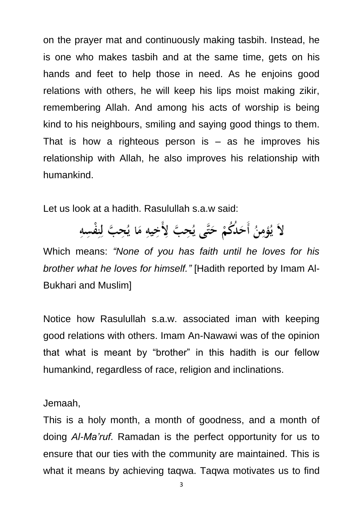on the prayer mat and continuously making tasbih. Instead, he is one who makes tasbih and at the same time, gets on his hands and feet to help those in need. As he enjoins good relations with others, he will keep his lips moist making zikir, remembering Allah. And among his acts of worship is being kind to his neighbours, smiling and saying good things to them. That is how a righteous person is  $-$  as he improves his relationship with Allah, he also improves his relationship with humankind.

Let us look at a hadith. Rasulullah s.a.w said:

لاَ يُؤْمِنُ أَحَلُكُمْ حَتَّى يُحِبَّ لِأَخِيهِ مَا يُحِبَّ لِنِفْسِهِ

Which means: *"None of you has faith until he loves for his brother what he loves for himself."* [Hadith reported by Imam Al-Bukhari and Muslim]

Notice how Rasulullah s.a.w. associated iman with keeping good relations with others. Imam An-Nawawi was of the opinion that what is meant by "brother" in this hadith is our fellow humankind, regardless of race, religion and inclinations.

Jemaah,

This is a holy month, a month of goodness, and a month of doing *Al-Ma'ruf*. Ramadan is the perfect opportunity for us to ensure that our ties with the community are maintained. This is what it means by achieving taqwa. Taqwa motivates us to find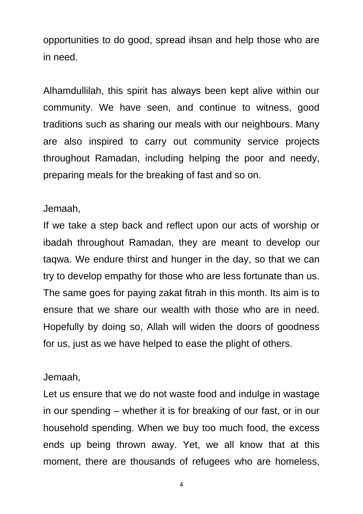opportunities to do good, spread ihsan and help those who are in need.

Alhamdullilah, this spirit has always been kept alive within our community. We have seen, and continue to witness, good traditions such as sharing our meals with our neighbours. Many are also inspired to carry out community service projects throughout Ramadan, including helping the poor and needy, preparing meals for the breaking of fast and so on.

## Jemaah,

If we take a step back and reflect upon our acts of worship or ibadah throughout Ramadan, they are meant to develop our taqwa. We endure thirst and hunger in the day, so that we can try to develop empathy for those who are less fortunate than us. The same goes for paying zakat fitrah in this month. Its aim is to ensure that we share our wealth with those who are in need. Hopefully by doing so, Allah will widen the doors of goodness for us, just as we have helped to ease the plight of others.

## Jemaah,

Let us ensure that we do not waste food and indulge in wastage in our spending – whether it is for breaking of our fast, or in our household spending. When we buy too much food, the excess ends up being thrown away. Yet, we all know that at this moment, there are thousands of refugees who are homeless,

4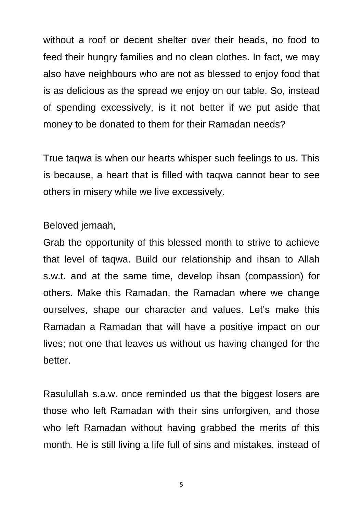without a roof or decent shelter over their heads, no food to feed their hungry families and no clean clothes. In fact, we may also have neighbours who are not as blessed to enjoy food that is as delicious as the spread we enjoy on our table. So, instead of spending excessively, is it not better if we put aside that money to be donated to them for their Ramadan needs?

True taqwa is when our hearts whisper such feelings to us. This is because, a heart that is filled with taqwa cannot bear to see others in misery while we live excessively.

Beloved jemaah,

Grab the opportunity of this blessed month to strive to achieve that level of taqwa. Build our relationship and ihsan to Allah s.w.t. and at the same time, develop ihsan (compassion) for others. Make this Ramadan, the Ramadan where we change ourselves, shape our character and values. Let's make this Ramadan a Ramadan that will have a positive impact on our lives; not one that leaves us without us having changed for the better.

Rasulullah s.a.w. once reminded us that the biggest losers are those who left Ramadan with their sins unforgiven, and those who left Ramadan without having grabbed the merits of this month*.* He is still living a life full of sins and mistakes, instead of

5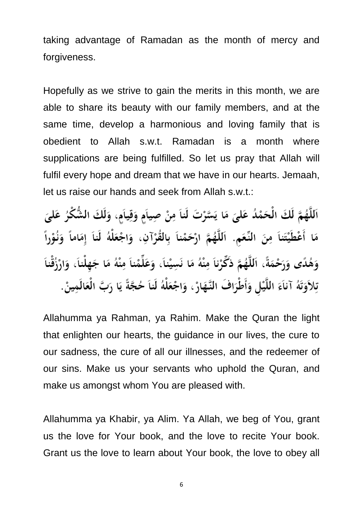taking advantage of Ramadan as the month of mercy and forgiveness.

Hopefully as we strive to gain the merits in this month, we are able to share its beauty with our family members, and at the same time, develop a harmonious and loving family that is obedient to Allah s.w.t. Ramadan is a month where supplications are being fulfilled. So let us pray that Allah will fulfil every hope and dream that we have in our hearts. Jemaah, let us raise our hands and seek from Allah s.w.t.:

اَللَّهُمَّ لَكَ الْحَمْدُ عَلَّىَ مَا يَسَّرْتَ لَناَ مِنْ صِياَمٍ وَقِياَمٍ، وَلَكَ الشُّكْرُ عَلَيَ مَا أَعْطَيْتَناً مِنَ النِّعَمِ. اَللَّهُمَّ ارْحَمْناً بِالقُرْآنِ، وَاجْعَلْهُ لَناَ إِمَاماً وَنُوْراً وَهُدًى وَرَحْمَةً، اَللَّهُمَّ ذَكِّرْناَ مِنْهُ مَا نَسِيْناَ، وَعَلِّمْناَ مِنْهُ مَا جَهِلْناَ، وَارْزُقْنا تِلاَوَتَهُ آناَءَ اللَّيْلِ وَأَطْرَافَ النَّهَارْ ، وَاجْعَلْهُ لَناَ حُجَّةً يَا رَبَّ الْعَالَمِينْ.

Allahumma ya Rahman, ya Rahim. Make the Quran the light that enlighten our hearts, the guidance in our lives, the cure to our sadness, the cure of all our illnesses, and the redeemer of our sins. Make us your servants who uphold the Quran, and make us amongst whom You are pleased with.

Allahumma ya Khabir, ya Alim. Ya Allah, we beg of You, grant us the love for Your book, and the love to recite Your book. Grant us the love to learn about Your book, the love to obey all

6